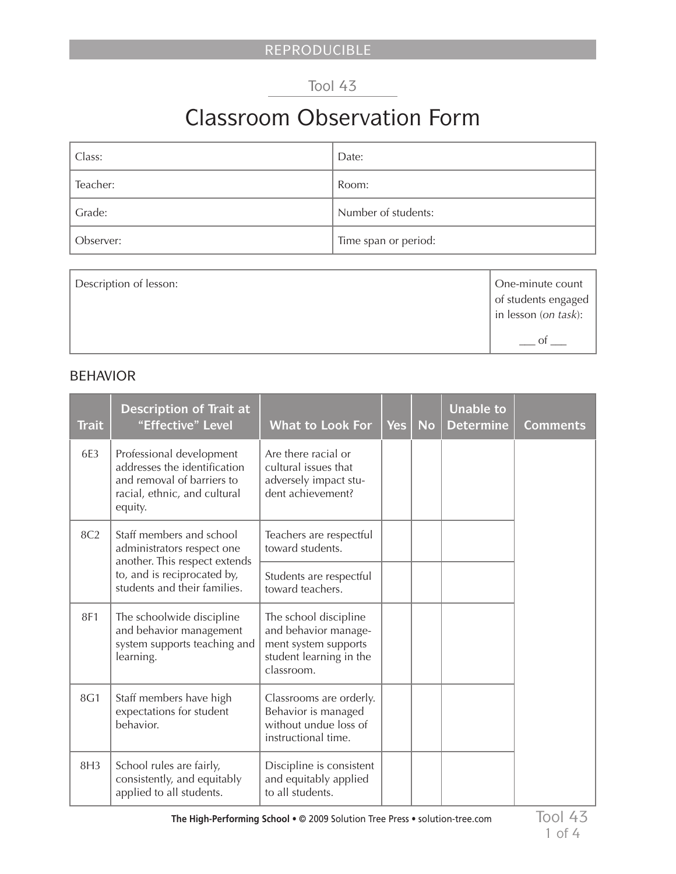## Tool 43

# Classroom Observation Form

| Class:    | Date:                |
|-----------|----------------------|
| Teacher:  | Room:                |
| Grade:    | Number of students:  |
| Observer: | Time span or period: |

| Description of lesson: | One-minute count<br>of students engaged<br>$\vert$ in lesson ( <i>on task</i> ): |
|------------------------|----------------------------------------------------------------------------------|
|                        |                                                                                  |

#### BEHAVIOR

| <b>Trait</b>    | <b>Description of Trait at</b><br>"Effective" Level                                                                               | <b>What to Look For</b>                                                                                        | <b>Yes</b> | <b>No</b> | <b>Unable to</b><br><b>Determine</b> | <b>Comments</b> |
|-----------------|-----------------------------------------------------------------------------------------------------------------------------------|----------------------------------------------------------------------------------------------------------------|------------|-----------|--------------------------------------|-----------------|
| 6E3             | Professional development<br>addresses the identification<br>and removal of barriers to<br>racial, ethnic, and cultural<br>equity. | Are there racial or<br>cultural issues that<br>adversely impact stu-<br>dent achievement?                      |            |           |                                      |                 |
| 8C <sub>2</sub> | Staff members and school<br>administrators respect one<br>another. This respect extends                                           | Teachers are respectful<br>toward students.                                                                    |            |           |                                      |                 |
|                 | to, and is reciprocated by,<br>students and their families.                                                                       | Students are respectful<br>toward teachers.                                                                    |            |           |                                      |                 |
| 8F1             | The schoolwide discipline<br>and behavior management<br>system supports teaching and<br>learning.                                 | The school discipline<br>and behavior manage-<br>ment system supports<br>student learning in the<br>classroom. |            |           |                                      |                 |
| 8G1             | Staff members have high<br>expectations for student<br>behavior.                                                                  | Classrooms are orderly.<br>Behavior is managed<br>without undue loss of<br>instructional time.                 |            |           |                                      |                 |
| 8H3             | School rules are fairly,<br>consistently, and equitably<br>applied to all students.                                               | Discipline is consistent<br>and equitably applied<br>to all students.                                          |            |           |                                      |                 |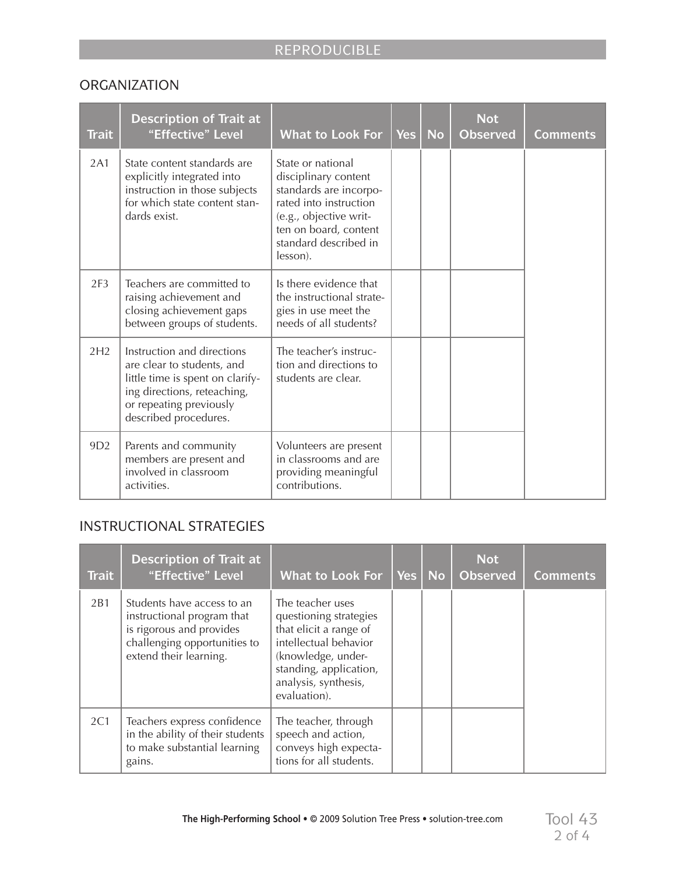#### **ORGANIZATION**

| <b>Trait</b>    | <b>Description of Trait at</b><br>"Effective" Level                                                                                                                             | <b>What to Look For</b>                                                                                                                                                               | <b>Yes</b> | <b>No</b> | <b>Not</b><br><b>Observed</b> | <b>Comments</b> |
|-----------------|---------------------------------------------------------------------------------------------------------------------------------------------------------------------------------|---------------------------------------------------------------------------------------------------------------------------------------------------------------------------------------|------------|-----------|-------------------------------|-----------------|
| 2A1             | State content standards are<br>explicitly integrated into<br>instruction in those subjects<br>for which state content stan-<br>dards exist.                                     | State or national<br>disciplinary content<br>standards are incorpo-<br>rated into instruction<br>(e.g., objective writ-<br>ten on board, content<br>standard described in<br>lesson). |            |           |                               |                 |
| 2F <sub>3</sub> | Teachers are committed to<br>raising achievement and<br>closing achievement gaps<br>between groups of students.                                                                 | Is there evidence that<br>the instructional strate-<br>gies in use meet the<br>needs of all students?                                                                                 |            |           |                               |                 |
| 2H2             | Instruction and directions<br>are clear to students, and<br>little time is spent on clarify-<br>ing directions, reteaching,<br>or repeating previously<br>described procedures. | The teacher's instruc-<br>tion and directions to<br>students are clear.                                                                                                               |            |           |                               |                 |
| 9D <sub>2</sub> | Parents and community<br>members are present and<br>involved in classroom<br>activities.                                                                                        | Volunteers are present<br>in classrooms and are<br>providing meaningful<br>contributions.                                                                                             |            |           |                               |                 |

## INSTRUCTIONAL STRATEGIES

| <b>Trait</b> | <b>Description of Trait at</b><br>"Effective" Level                                                                                            | <b>What to Look For</b>                                                                                                                                                               | <b>Yes</b> | No | <b>Not</b><br><b>Observed</b> | <b>Comments</b> |
|--------------|------------------------------------------------------------------------------------------------------------------------------------------------|---------------------------------------------------------------------------------------------------------------------------------------------------------------------------------------|------------|----|-------------------------------|-----------------|
| 2B1          | Students have access to an<br>instructional program that<br>is rigorous and provides<br>challenging opportunities to<br>extend their learning. | The teacher uses<br>questioning strategies<br>that elicit a range of<br>intellectual behavior<br>(knowledge, under-<br>standing, application,<br>analysis, synthesis,<br>evaluation). |            |    |                               |                 |
| 2C1          | Teachers express confidence<br>in the ability of their students<br>to make substantial learning<br>gains.                                      | The teacher, through<br>speech and action,<br>conveys high expecta-<br>tions for all students.                                                                                        |            |    |                               |                 |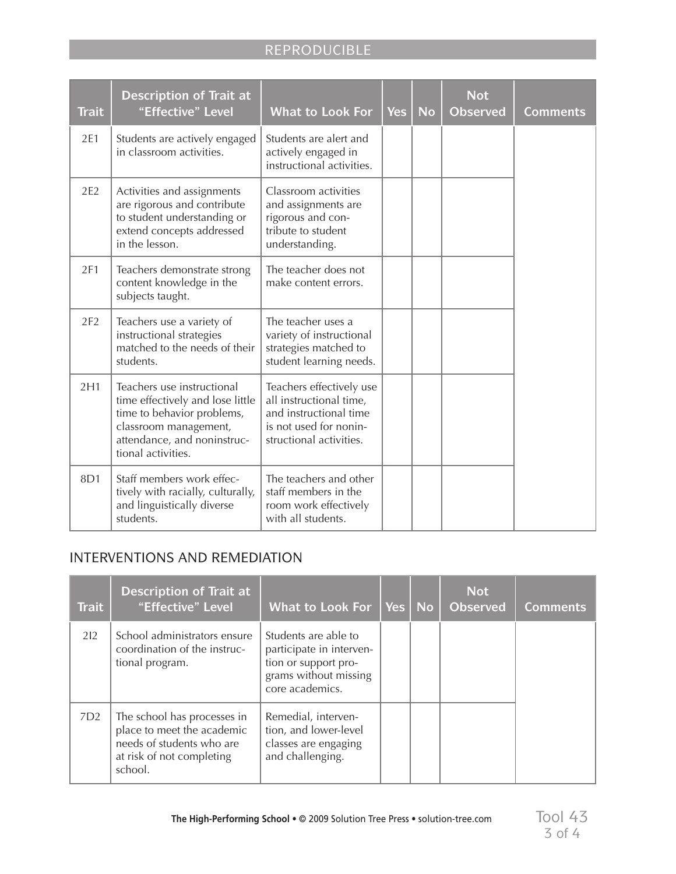# REPRODUCIBLE

| <b>Trait</b> | <b>Description of Trait at</b><br>"Effective" Level                                                                                                                        | <b>What to Look For</b>                                                                                                            | <b>Yes</b> | <b>No</b> | <b>Not</b><br><b>Observed</b> | <b>Comments</b> |
|--------------|----------------------------------------------------------------------------------------------------------------------------------------------------------------------------|------------------------------------------------------------------------------------------------------------------------------------|------------|-----------|-------------------------------|-----------------|
| 2E1          | Students are actively engaged<br>in classroom activities.                                                                                                                  | Students are alert and<br>actively engaged in<br>instructional activities.                                                         |            |           |                               |                 |
| 2E2          | Activities and assignments<br>are rigorous and contribute<br>to student understanding or<br>extend concepts addressed<br>in the lesson.                                    | Classroom activities<br>and assignments are<br>rigorous and con-<br>tribute to student<br>understanding.                           |            |           |                               |                 |
| 2F1          | Teachers demonstrate strong<br>content knowledge in the<br>subjects taught.                                                                                                | The teacher does not<br>make content errors.                                                                                       |            |           |                               |                 |
| 2F2          | Teachers use a variety of<br>instructional strategies<br>matched to the needs of their<br>students.                                                                        | The teacher uses a<br>variety of instructional<br>strategies matched to<br>student learning needs.                                 |            |           |                               |                 |
| 2H1          | Teachers use instructional<br>time effectively and lose little<br>time to behavior problems,<br>classroom management,<br>attendance, and noninstruc-<br>tional activities. | Teachers effectively use<br>all instructional time,<br>and instructional time<br>is not used for nonin-<br>structional activities. |            |           |                               |                 |
| 8D1          | Staff members work effec-<br>tively with racially, culturally,<br>and linguistically diverse<br>students.                                                                  | The teachers and other<br>staff members in the<br>room work effectively<br>with all students.                                      |            |           |                               |                 |

#### INTERVENTIONS AND REMEDIATION

| <b>Trait</b>    | Description of Trait at<br>"Effective" Level                                                                                   | <b>What to Look For</b>                                                                                              | <b>Yes</b> | <b>No</b> | <b>Not</b><br><b>Observed</b> | <b>Comments</b> |
|-----------------|--------------------------------------------------------------------------------------------------------------------------------|----------------------------------------------------------------------------------------------------------------------|------------|-----------|-------------------------------|-----------------|
| 212             | School administrators ensure<br>coordination of the instruc-<br>tional program.                                                | Students are able to<br>participate in interven-<br>tion or support pro-<br>grams without missing<br>core academics. |            |           |                               |                 |
| 7D <sub>2</sub> | The school has processes in<br>place to meet the academic<br>needs of students who are<br>at risk of not completing<br>school. | Remedial, interven-<br>tion, and lower-level<br>classes are engaging<br>and challenging.                             |            |           |                               |                 |